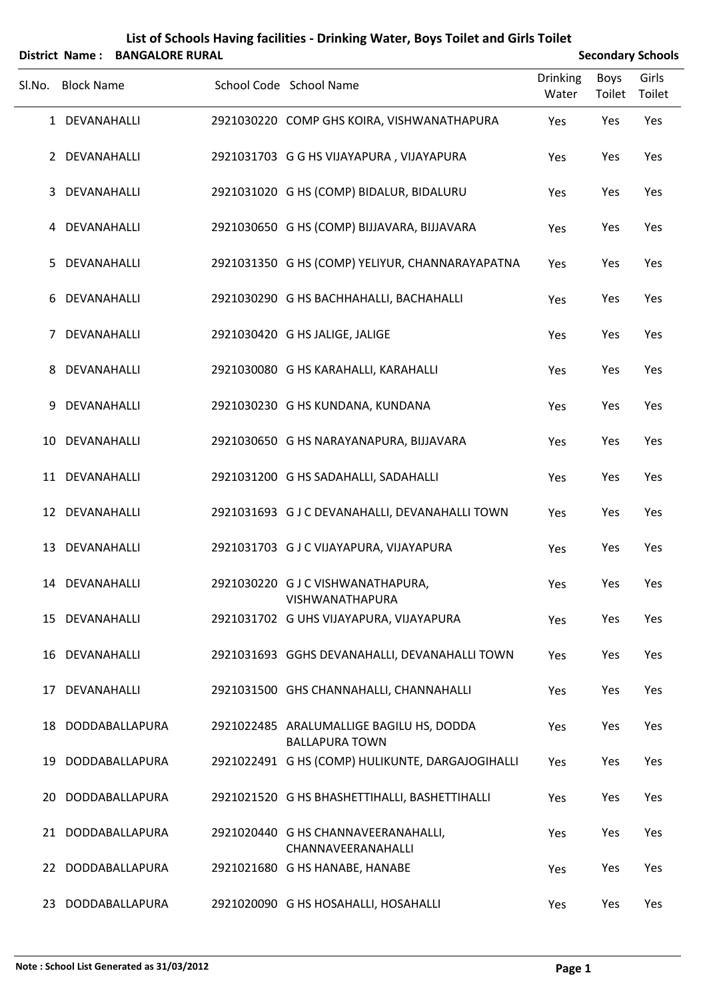|        | <b>District Name:</b> | <b>BANGALORE RURAL</b> |                                                                   |                          |                | <b>Secondary Schools</b> |
|--------|-----------------------|------------------------|-------------------------------------------------------------------|--------------------------|----------------|--------------------------|
| Sl.No. | <b>Block Name</b>     |                        | School Code School Name                                           | <b>Drinking</b><br>Water | Boys<br>Toilet | Girls<br>Toilet          |
|        | 1 DEVANAHALLI         |                        | 2921030220 COMP GHS KOIRA, VISHWANATHAPURA                        | Yes                      | Yes            | Yes                      |
|        | 2 DEVANAHALLI         |                        | 2921031703 G G HS VIJAYAPURA, VIJAYAPURA                          | Yes                      | Yes            | Yes                      |
|        | 3 DEVANAHALLI         |                        | 2921031020 G HS (COMP) BIDALUR, BIDALURU                          | Yes                      | Yes            | Yes                      |
|        | 4 DEVANAHALLI         |                        | 2921030650 G HS (COMP) BIJJAVARA, BIJJAVARA                       | Yes                      | Yes            | Yes                      |
| 5      | DEVANAHALLI           |                        | 2921031350 G HS (COMP) YELIYUR, CHANNARAYAPATNA                   | Yes                      | Yes            | Yes                      |
| 6      | DEVANAHALLI           |                        | 2921030290 G HS BACHHAHALLI, BACHAHALLI                           | Yes                      | Yes            | Yes                      |
| 7      | DEVANAHALLI           |                        | 2921030420 G HS JALIGE, JALIGE                                    | Yes                      | Yes            | Yes                      |
| 8      | DEVANAHALLI           |                        | 2921030080 G HS KARAHALLI, KARAHALLI                              | Yes                      | Yes            | Yes                      |
| 9      | DEVANAHALLI           |                        | 2921030230 G HS KUNDANA, KUNDANA                                  | Yes                      | Yes            | Yes                      |
|        | 10 DEVANAHALLI        |                        | 2921030650 G HS NARAYANAPURA, BIJJAVARA                           | Yes                      | Yes            | Yes                      |
|        | 11 DEVANAHALLI        |                        | 2921031200 G HS SADAHALLI, SADAHALLI                              | Yes                      | Yes            | Yes                      |
|        | 12 DEVANAHALLI        |                        | 2921031693 G J C DEVANAHALLI, DEVANAHALLI TOWN                    | Yes                      | Yes            | Yes                      |
| 13     | DEVANAHALLI           |                        | 2921031703 GJCVIJAYAPURA, VIJAYAPURA                              | Yes                      | Yes            | Yes                      |
|        | 14 DEVANAHALLI        |                        | 2921030220 GJCVISHWANATHAPURA,<br>VISHWANATHAPURA                 | Yes                      | Yes            | Yes                      |
|        | 15 DEVANAHALLI        |                        | 2921031702 G UHS VIJAYAPURA, VIJAYAPURA                           | Yes                      | Yes            | Yes                      |
| 16     | DEVANAHALLI           |                        | 2921031693 GGHS DEVANAHALLI, DEVANAHALLI TOWN                     | Yes                      | Yes            | Yes                      |
|        | 17 DEVANAHALLI        |                        | 2921031500 GHS CHANNAHALLI, CHANNAHALLI                           | Yes                      | Yes            | Yes                      |
| 18     |                       | DODDABALLAPURA         | 2921022485 ARALUMALLIGE BAGILU HS, DODDA<br><b>BALLAPURA TOWN</b> | Yes                      | Yes            | Yes                      |
|        |                       | 19 DODDABALLAPURA      | 2921022491 G HS (COMP) HULIKUNTE, DARGAJOGIHALLI                  | Yes                      | Yes            | Yes                      |
| 20     |                       | DODDABALLAPURA         | 2921021520 G HS BHASHETTIHALLI, BASHETTIHALLI                     | Yes                      | Yes            | Yes                      |
|        |                       | 21 DODDABALLAPURA      | 2921020440 G HS CHANNAVEERANAHALLI,<br>CHANNAVEERANAHALLI         | Yes                      | Yes            | Yes                      |
|        |                       | 22 DODDABALLAPURA      | 2921021680 G HS HANABE, HANABE                                    | Yes                      | Yes            | Yes                      |
|        |                       | 23 DODDABALLAPURA      | 2921020090 G HS HOSAHALLI, HOSAHALLI                              | Yes                      | Yes            | Yes                      |

## **List of Schools Having facilities ‐ Drinking Water, Boys Toilet and Girls Toilet**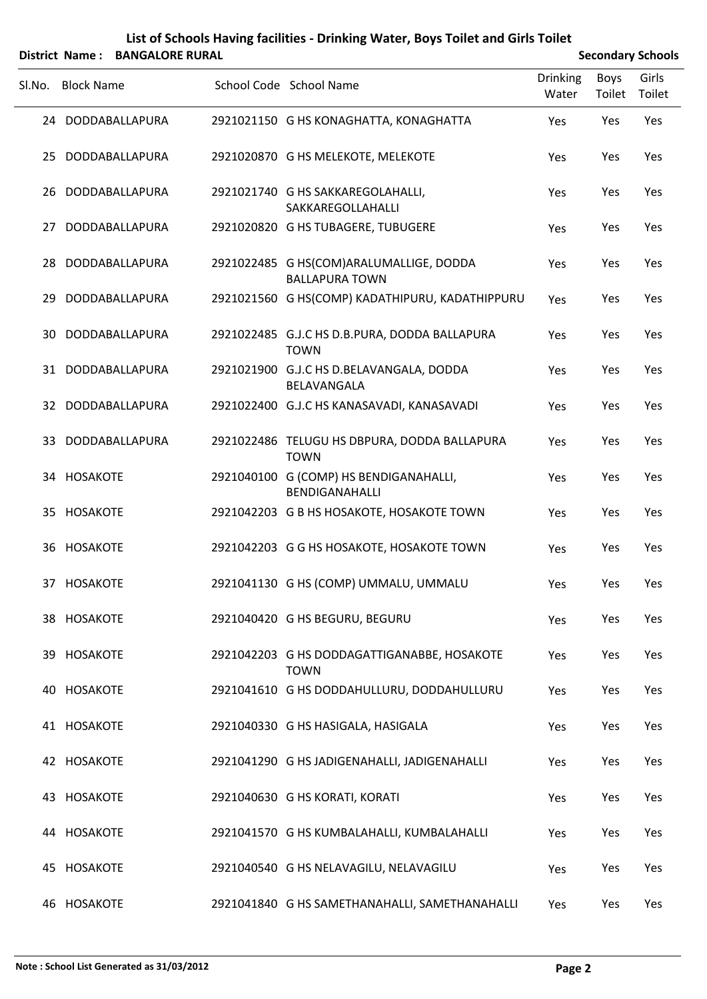## **List of Schools Having facilities ‐ Drinking Water, Boys Toilet and Girls Toilet**

|        |                   | District Name: BANGALORE RURAL |                                                                  |                          |                | <b>Secondary Schools</b> |
|--------|-------------------|--------------------------------|------------------------------------------------------------------|--------------------------|----------------|--------------------------|
| SI.No. | <b>Block Name</b> |                                | School Code School Name                                          | <b>Drinking</b><br>Water | Boys<br>Toilet | Girls<br>Toilet          |
|        |                   | 24 DODDABALLAPURA              | 2921021150 G HS KONAGHATTA, KONAGHATTA                           | Yes                      | Yes            | Yes                      |
| 25.    |                   | DODDABALLAPURA                 | 2921020870 G HS MELEKOTE, MELEKOTE                               | Yes                      | Yes            | Yes                      |
| 26.    |                   | DODDABALLAPURA                 | 2921021740 G HS SAKKAREGOLAHALLI,<br><b>SAKKAREGOLLAHALLI</b>    | Yes                      | Yes            | Yes                      |
| 27     |                   | DODDABALLAPURA                 | 2921020820 G HS TUBAGERE, TUBUGERE                               | Yes                      | Yes            | Yes                      |
| 28     |                   | DODDABALLAPURA                 | 2921022485 G HS(COM)ARALUMALLIGE, DODDA<br><b>BALLAPURA TOWN</b> | Yes                      | Yes            | Yes                      |
| 29     |                   | DODDABALLAPURA                 | 2921021560 G HS(COMP) KADATHIPURU, KADATHIPPURU                  | Yes                      | Yes            | Yes                      |
| 30     |                   | DODDABALLAPURA                 | 2921022485 G.J.C HS D.B.PURA, DODDA BALLAPURA<br><b>TOWN</b>     | Yes                      | Yes            | Yes                      |
|        |                   | 31 DODDABALLAPURA              | 2921021900 G.J.C HS D.BELAVANGALA, DODDA<br>BELAVANGALA          | Yes                      | Yes            | Yes                      |
| 32.    |                   | DODDABALLAPURA                 | 2921022400 G.J.C HS KANASAVADI, KANASAVADI                       | Yes                      | Yes            | Yes                      |
| 33.    |                   | DODDABALLAPURA                 | 2921022486 TELUGU HS DBPURA, DODDA BALLAPURA<br><b>TOWN</b>      | Yes                      | Yes            | Yes                      |
|        | 34 HOSAKOTE       |                                | 2921040100 G (COMP) HS BENDIGANAHALLI,<br>BENDIGANAHALLI         | Yes                      | Yes            | Yes                      |
|        | 35 HOSAKOTE       |                                | 2921042203 G B HS HOSAKOTE, HOSAKOTE TOWN                        | Yes                      | Yes            | Yes                      |
|        | 36 HOSAKOTE       |                                | 2921042203 G G HS HOSAKOTE, HOSAKOTE TOWN                        | Yes                      | Yes            | Yes                      |
|        | 37 HOSAKOTE       |                                | 2921041130 G HS (COMP) UMMALU, UMMALU                            | Yes                      | Yes            | Yes                      |
|        | 38 HOSAKOTE       |                                | 2921040420 G HS BEGURU, BEGURU                                   | Yes                      | Yes            | Yes                      |
|        | 39 HOSAKOTE       |                                | 2921042203 G HS DODDAGATTIGANABBE, HOSAKOTE<br><b>TOWN</b>       | Yes                      | Yes            | Yes                      |
|        | 40 HOSAKOTE       |                                | 2921041610 G HS DODDAHULLURU, DODDAHULLURU                       | Yes                      | Yes            | Yes                      |
|        | 41 HOSAKOTE       |                                | 2921040330 G HS HASIGALA, HASIGALA                               | Yes                      | Yes            | Yes                      |
|        | 42 HOSAKOTE       |                                | 2921041290 G HS JADIGENAHALLI, JADIGENAHALLI                     | Yes                      | Yes            | Yes                      |
|        | 43 HOSAKOTE       |                                | 2921040630 G HS KORATI, KORATI                                   | Yes                      | Yes            | Yes                      |
|        | 44 HOSAKOTE       |                                | 2921041570 G HS KUMBALAHALLI, KUMBALAHALLI                       | Yes                      | Yes            | Yes                      |
|        | 45 HOSAKOTE       |                                | 2921040540 G HS NELAVAGILU, NELAVAGILU                           | Yes                      | Yes            | Yes                      |
|        | 46 HOSAKOTE       |                                | 2921041840 G HS SAMETHANAHALLI, SAMETHANAHALLI                   | Yes                      | Yes            | Yes                      |